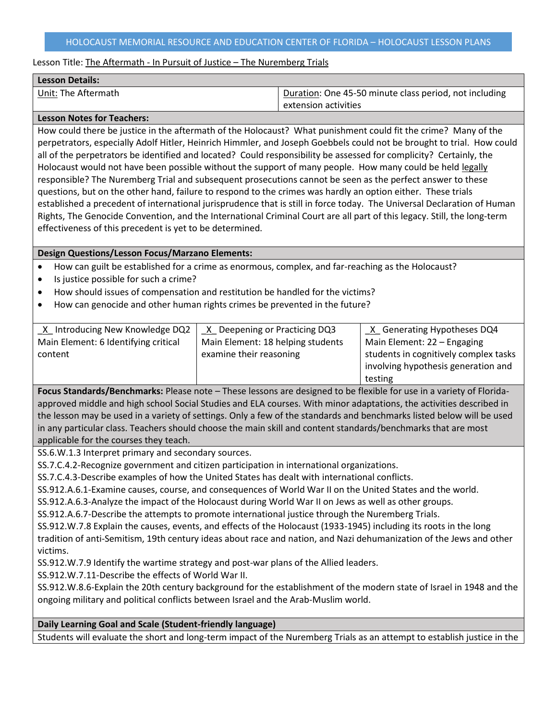### HOLOCAUST MEMORIAL RESOURCE AND EDUCATION CENTER OF FLORIDA – HOLOCAUST LESSON PLANS

### Lesson Title: The Aftermath - In Pursuit of Justice - The Nuremberg Trials

| <b>Lesson Details:</b> |                                                        |
|------------------------|--------------------------------------------------------|
| Unit: The Aftermath    | Duration: One 45-50 minute class period, not including |
|                        | extension activities                                   |

#### **Lesson Notes for Teachers:**

How could there be justice in the aftermath of the Holocaust? What punishment could fit the crime? Many of the perpetrators, especially Adolf Hitler, Heinrich Himmler, and Joseph Goebbels could not be brought to trial. How could all of the perpetrators be identified and located? Could responsibility be assessed for complicity? Certainly, the Holocaust would not have been possible without the support of many people. How many could be held legally responsible? The Nuremberg Trial and subsequent prosecutions cannot be seen as the perfect answer to these questions, but on the other hand, failure to respond to the crimes was hardly an option either. These trials established a precedent of international jurisprudence that is still in force today. The Universal Declaration of Human Rights, The Genocide Convention, and the International Criminal Court are all part of this legacy. Still, the long-term effectiveness of this precedent is yet to be determined.

### **Design Questions/Lesson Focus/Marzano Elements:**

- How can guilt be established for a crime as enormous, complex, and far-reaching as the Holocaust?
- Is justice possible for such a crime?
- How should issues of compensation and restitution be handled for the victims?
- How can genocide and other human rights crimes be prevented in the future?

| X Introducing New Knowledge DQ2      | X Deepening or Practicing DQ3     | X Generating Hypotheses DQ4           |
|--------------------------------------|-----------------------------------|---------------------------------------|
| Main Element: 6 Identifying critical | Main Element: 18 helping students | Main Element: 22 - Engaging           |
| content                              | examine their reasoning           | students in cognitively complex tasks |
|                                      |                                   | involving hypothesis generation and   |
|                                      |                                   | testing                               |

**Focus Standards/Benchmarks:** Please note – These lessons are designed to be flexible for use in a variety of Floridaapproved middle and high school Social Studies and ELA courses. With minor adaptations, the activities described in the lesson may be used in a variety of settings. Only a few of the standards and benchmarks listed below will be used in any particular class. Teachers should choose the main skill and content standards/benchmarks that are most applicable for the courses they teach.

SS.6.W.1.3 Interpret primary and secondary sources.

SS.7.C.4.2-Recognize government and citizen participation in international organizations.

SS.7.C.4.3-Describe examples of how the United States has dealt with international conflicts.

SS.912.A.6.1-Examine causes, course, and consequences of World War II on the United States and the world.

SS.912.A.6.3-Analyze the impact of the Holocaust during World War II on Jews as well as other groups.

SS.912.A.6.7-Describe the attempts to promote international justice through the Nuremberg Trials.

SS.912.W.7.8 Explain the causes, events, and effects of the Holocaust (1933-1945) including its roots in the long tradition of anti-Semitism, 19th century ideas about race and nation, and Nazi dehumanization of the Jews and other victims.

SS.912.W.7.9 Identify the wartime strategy and post-war plans of the Allied leaders.

SS.912.W.7.11-Describe the effects of World War II.

SS.912.W.8.6-Explain the 20th century background for the establishment of the modern state of Israel in 1948 and the ongoing military and political conflicts between Israel and the Arab-Muslim world.

## **Daily Learning Goal and Scale (Student-friendly language)**

Students will evaluate the short and long-term impact of the Nuremberg Trials as an attempt to establish justice in the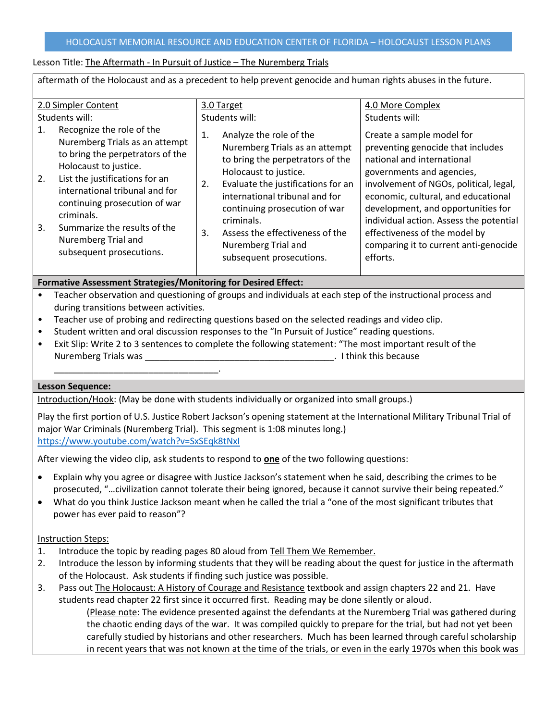# Lesson Title: The Aftermath - In Pursuit of Justice - The Nuremberg Trials

| aftermath of the Holocaust and as a precedent to help prevent genocide and human rights abuses in the future.                                                                                                                                                                                                                                                                             |                                                                                                                                                                                                                                                                                                                                                                                       |                                                                                                                                                                                                                                                                                                                                                                                                                         |  |
|-------------------------------------------------------------------------------------------------------------------------------------------------------------------------------------------------------------------------------------------------------------------------------------------------------------------------------------------------------------------------------------------|---------------------------------------------------------------------------------------------------------------------------------------------------------------------------------------------------------------------------------------------------------------------------------------------------------------------------------------------------------------------------------------|-------------------------------------------------------------------------------------------------------------------------------------------------------------------------------------------------------------------------------------------------------------------------------------------------------------------------------------------------------------------------------------------------------------------------|--|
| 2.0 Simpler Content<br>Students will:<br>Recognize the role of the<br>1.<br>Nuremberg Trials as an attempt<br>to bring the perpetrators of the<br>Holocaust to justice.<br>2.<br>List the justifications for an<br>international tribunal and for<br>continuing prosecution of war<br>criminals.<br>3.<br>Summarize the results of the<br>Nuremberg Trial and<br>subsequent prosecutions. | 3.0 Target<br>Students will:<br>Analyze the role of the<br>1.<br>Nuremberg Trials as an attempt<br>to bring the perpetrators of the<br>Holocaust to justice.<br>Evaluate the justifications for an<br>2.<br>international tribunal and for<br>continuing prosecution of war<br>criminals.<br>3.<br>Assess the effectiveness of the<br>Nuremberg Trial and<br>subsequent prosecutions. | 4.0 More Complex<br>Students will:<br>Create a sample model for<br>preventing genocide that includes<br>national and international<br>governments and agencies,<br>involvement of NGOs, political, legal,<br>economic, cultural, and educational<br>development, and opportunities for<br>individual action. Assess the potential<br>effectiveness of the model by<br>comparing it to current anti-genocide<br>efforts. |  |
| Formative Assessment Strategies/Monitoring for Desired Effect:                                                                                                                                                                                                                                                                                                                            |                                                                                                                                                                                                                                                                                                                                                                                       |                                                                                                                                                                                                                                                                                                                                                                                                                         |  |

- Teacher observation and questioning of groups and individuals at each step of the instructional process and during transitions between activities.
- Teacher use of probing and redirecting questions based on the selected readings and video clip.
- Student written and oral discussion responses to the "In Pursuit of Justice" reading questions.
- Exit Slip: Write 2 to 3 sentences to complete the following statement: "The most important result of the Nuremberg Trials was **Nuremberg** Trials was **Nuremberg Trials** was the section of the section of the section of the section of the section of the section of the section of the section of the section of the section of the s

## **Lesson Sequence:**

\_\_\_\_\_\_\_\_\_\_\_\_\_\_\_\_\_\_\_\_\_\_\_\_\_\_\_\_\_\_\_\_\_.

Introduction/Hook: (May be done with students individually or organized into small groups.)

Play the first portion of U.S. Justice Robert Jackson's opening statement at the International Military Tribunal Trial of major War Criminals (Nuremberg Trial). This segment is 1:08 minutes long.) <https://www.youtube.com/watch?v=SxSEqk8tNxI>

After viewing the video clip, ask students to respond to **one** of the two following questions:

- Explain why you agree or disagree with Justice Jackson's statement when he said, describing the crimes to be prosecuted, "…civilization cannot tolerate their being ignored, because it cannot survive their being repeated."
- What do you think Justice Jackson meant when he called the trial a "one of the most significant tributes that power has ever paid to reason"?

# Instruction Steps:

- 1. Introduce the topic by reading pages 80 aloud from Tell Them We Remember.
- 2. Introduce the lesson by informing students that they will be reading about the quest for justice in the aftermath of the Holocaust. Ask students if finding such justice was possible.
- 3. Pass out The Holocaust: A History of Courage and Resistance textbook and assign chapters 22 and 21. Have students read chapter 22 first since it occurred first. Reading may be done silently or aloud.

(Please note: The evidence presented against the defendants at the Nuremberg Trial was gathered during the chaotic ending days of the war. It was compiled quickly to prepare for the trial, but had not yet been carefully studied by historians and other researchers. Much has been learned through careful scholarship in recent years that was not known at the time of the trials, or even in the early 1970s when this book was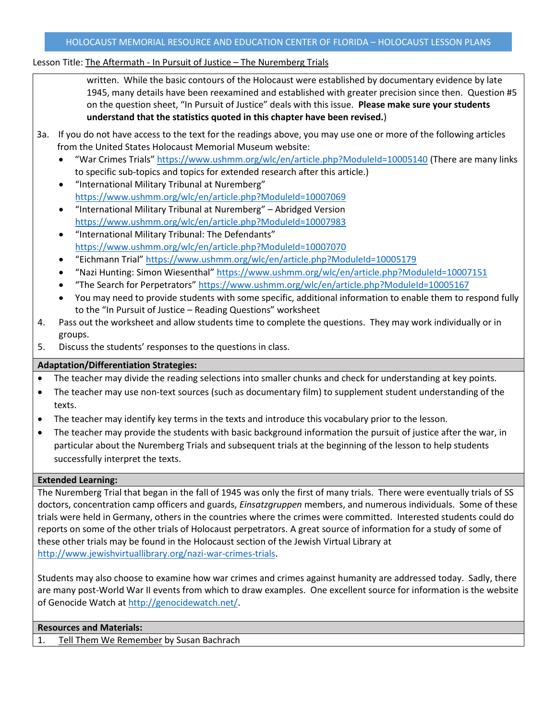# Lesson Title: The Aftermath - In Pursuit of Justice - The Nuremberg Trials

written. While the basic contours of the Holocaust were established by documentary evidence by late 1945, many details have been reexamined and established with greater precision since then. Question #5 on the question sheet, "In Pursuit of Justice" deals with this issue. **Please make sure your students understand that the statistics quoted in this chapter have been revised.**)

- 3a. If you do not have access to the text for the readings above, you may use one or more of the following articles from the United States Holocaust Memorial Museum website:
	- "War Crimes Trials" <https://www.ushmm.org/wlc/en/article.php?ModuleId=10005140> (There are many links to specific sub-topics and topics for extended research after this article.)
	- "International Military Tribunal at Nuremberg" <https://www.ushmm.org/wlc/en/article.php?ModuleId=10007069>
	- "International Military Tribunal at Nuremberg" Abridged Version <https://www.ushmm.org/wlc/en/article.php?ModuleId=10007983>
	- "International Military Tribunal: The Defendants" <https://www.ushmm.org/wlc/en/article.php?ModuleId=10007070>
	- "Eichmann Trial" <https://www.ushmm.org/wlc/en/article.php?ModuleId=10005179>
	- "Nazi Hunting: Simon Wiesenthal" <https://www.ushmm.org/wlc/en/article.php?ModuleId=10007151>
	- "The Search for Perpetrators" <https://www.ushmm.org/wlc/en/article.php?ModuleId=10005167>
	- You may need to provide students with some specific, additional information to enable them to respond fully to the "In Pursuit of Justice – Reading Questions" worksheet
- 4. Pass out the worksheet and allow students time to complete the questions. They may work individually or in groups.
- 5. Discuss the students' responses to the questions in class.

# **Adaptation/Differentiation Strategies:**

- The teacher may divide the reading selections into smaller chunks and check for understanding at key points.
- The teacher may use non-text sources (such as documentary film) to supplement student understanding of the texts.
- The teacher may identify key terms in the texts and introduce this vocabulary prior to the lesson.
- The teacher may provide the students with basic background information the pursuit of justice after the war, in particular about the Nuremberg Trials and subsequent trials at the beginning of the lesson to help students successfully interpret the texts.

## **Extended Learning:**

The Nuremberg Trial that began in the fall of 1945 was only the first of many trials. There were eventually trials of SS doctors, concentration camp officers and guards, *Einsatzgruppen* members, and numerous individuals. Some of these trials were held in Germany, others in the countries where the crimes were committed. Interested students could do reports on some of the other trials of Holocaust perpetrators. A great source of information for a study of some of these other trials may be found in the Holocaust section of the Jewish Virtual Library at [http://www.jewishvirtuallibrary.org/nazi-war-crimes-trials.](http://www.jewishvirtuallibrary.org/nazi-war-crimes-trials)

Students may also choose to examine how war crimes and crimes against humanity are addressed today. Sadly, there are many post-World War II events from which to draw examples. One excellent source for information is the website of Genocide Watch at [http://genocidewatch.net/.](http://genocidewatch.net/)

### **Resources and Materials:**

1. Tell Them We Remember by Susan Bachrach